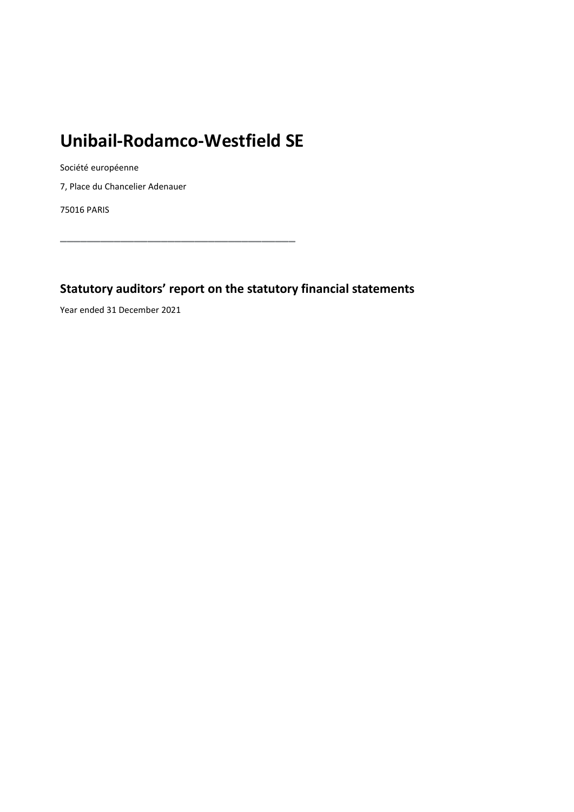# **Unibail-Rodamco-Westfield SE**

Société européenne

7, Place du Chancelier Adenauer

75016 PARIS

**\_\_\_\_\_\_\_\_\_\_\_\_\_\_\_\_\_\_\_\_\_\_\_\_\_\_\_\_\_\_\_\_\_\_\_**

# **Statutory auditors' report on the statutory financial statements**

Year ended 31 December 2021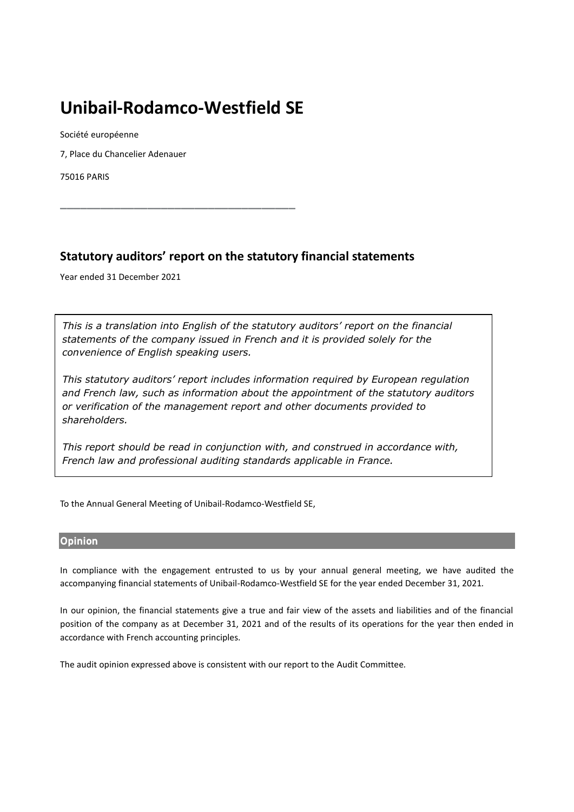# **Unibail-Rodamco-Westfield SE**

**\_\_\_\_\_\_\_\_\_\_\_\_\_\_\_\_\_\_\_\_\_\_\_\_\_\_\_\_\_\_\_\_\_\_\_**

Société européenne

7, Place du Chancelier Adenauer

75016 PARIS

# **Statutory auditors' report on the statutory financial statements**

Year ended 31 December 2021

*This is a translation into English of the statutory auditors' report on the financial statements of the company issued in French and it is provided solely for the convenience of English speaking users.*

*This statutory auditors' report includes information required by European regulation and French law, such as information about the appointment of the statutory auditors or verification of the management report and other documents provided to shareholders.*

*This report should be read in conjunction with, and construed in accordance with, French law and professional auditing standards applicable in France.*

To the Annual General Meeting of Unibail-Rodamco-Westfield SE,

# **Opinion**

In compliance with the engagement entrusted to us by your annual general meeting, we have audited the accompanying financial statements of Unibail-Rodamco-Westfield SE for the year ended December 31, 2021*.*

In our opinion, the financial statements give a true and fair view of the assets and liabilities and of the financial position of the company as at December 31, 2021 and of the results of its operations for the year then ended in accordance with French accounting principles.

The audit opinion expressed above is consistent with our report to the Audit Committee*.*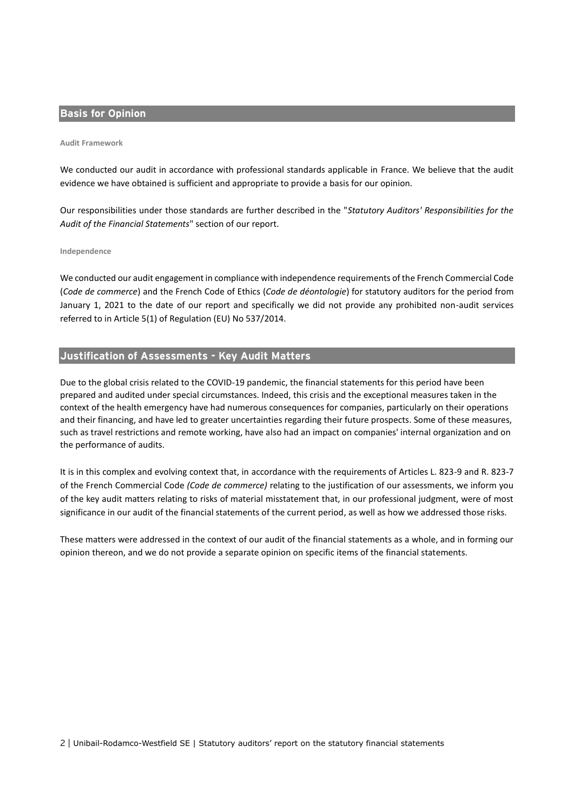# **Basis for Opinion**

#### **Audit Framework**

We conducted our audit in accordance with professional standards applicable in France. We believe that the audit evidence we have obtained is sufficient and appropriate to provide a basis for our opinion.

Our responsibilities under those standards are further described in the "*Statutory Auditors' Responsibilities for the Audit of the Financial Statements*" section of our report.

#### **Independence**

We conducted our audit engagement in compliance with independence requirements of the French Commercial Code (*Code de commerce*) and the French Code of Ethics (*Code de déontologie*) for statutory auditors for the period from January 1, 2021 to the date of our report and specifically we did not provide any prohibited non-audit services referred to in Article 5(1) of Regulation (EU) No 537/2014.

# **Justification of Assessments - Key Audit Matters**

Due to the global crisis related to the COVID-19 pandemic, the financial statements for this period have been prepared and audited under special circumstances. Indeed, this crisis and the exceptional measures taken in the context of the health emergency have had numerous consequences for companies, particularly on their operations and their financing, and have led to greater uncertainties regarding their future prospects. Some of these measures, such as travel restrictions and remote working, have also had an impact on companies' internal organization and on the performance of audits.

It is in this complex and evolving context that, in accordance with the requirements of Articles L. 823-9 and R. 823-7 of the French Commercial Code *(Code de commerce)* relating to the justification of our assessments, we inform you of the key audit matters relating to risks of material misstatement that, in our professional judgment, were of most significance in our audit of the financial statements of the current period, as well as how we addressed those risks.

These matters were addressed in the context of our audit of the financial statements as a whole, and in forming our opinion thereon, and we do not provide a separate opinion on specific items of the financial statements.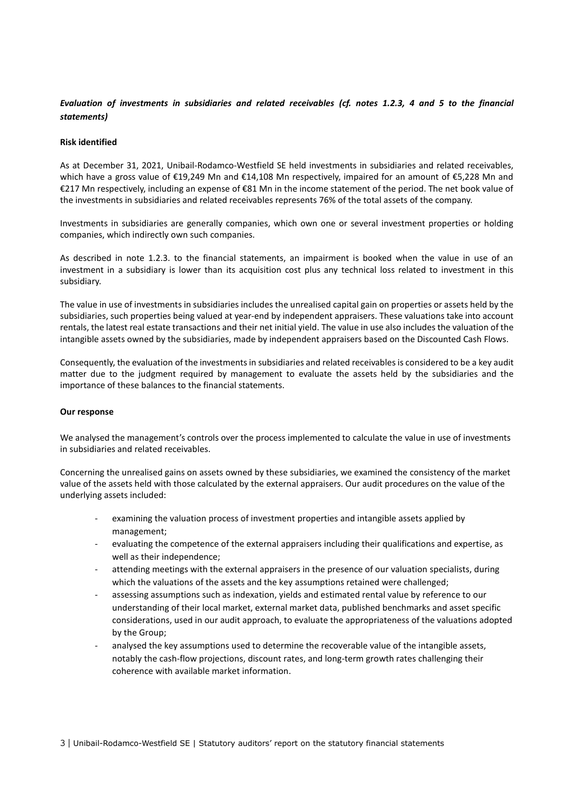# *Evaluation of investments in subsidiaries and related receivables (cf. notes 1.2.3, 4 and 5 to the financial statements)*

#### **Risk identified**

As at December 31, 2021, Unibail-Rodamco-Westfield SE held investments in subsidiaries and related receivables, which have a gross value of €19,249 Mn and €14,108 Mn respectively, impaired for an amount of €5,228 Mn and €217 Mn respectively, including an expense of €81 Mn in the income statement of the period. The net book value of the investments in subsidiaries and related receivables represents 76% of the total assets of the company.

Investments in subsidiaries are generally companies, which own one or several investment properties or holding companies, which indirectly own such companies.

As described in note 1.2.3. to the financial statements, an impairment is booked when the value in use of an investment in a subsidiary is lower than its acquisition cost plus any technical loss related to investment in this subsidiary.

The value in use of investments in subsidiaries includes the unrealised capital gain on properties or assets held by the subsidiaries, such properties being valued at year-end by independent appraisers. These valuations take into account rentals, the latest real estate transactions and their net initial yield. The value in use also includes the valuation of the intangible assets owned by the subsidiaries, made by independent appraisers based on the Discounted Cash Flows.

Consequently, the evaluation of the investments in subsidiaries and related receivables is considered to be a key audit matter due to the judgment required by management to evaluate the assets held by the subsidiaries and the importance of these balances to the financial statements.

#### **Our response**

We analysed the management's controls over the process implemented to calculate the value in use of investments in subsidiaries and related receivables.

Concerning the unrealised gains on assets owned by these subsidiaries, we examined the consistency of the market value of the assets held with those calculated by the external appraisers. Our audit procedures on the value of the underlying assets included:

- examining the valuation process of investment properties and intangible assets applied by management;
- evaluating the competence of the external appraisers including their qualifications and expertise, as well as their independence;
- attending meetings with the external appraisers in the presence of our valuation specialists, during which the valuations of the assets and the key assumptions retained were challenged;
- assessing assumptions such as indexation, yields and estimated rental value by reference to our understanding of their local market, external market data, published benchmarks and asset specific considerations, used in our audit approach, to evaluate the appropriateness of the valuations adopted by the Group;
- analysed the key assumptions used to determine the recoverable value of the intangible assets, notably the cash-flow projections, discount rates, and long-term growth rates challenging their coherence with available market information.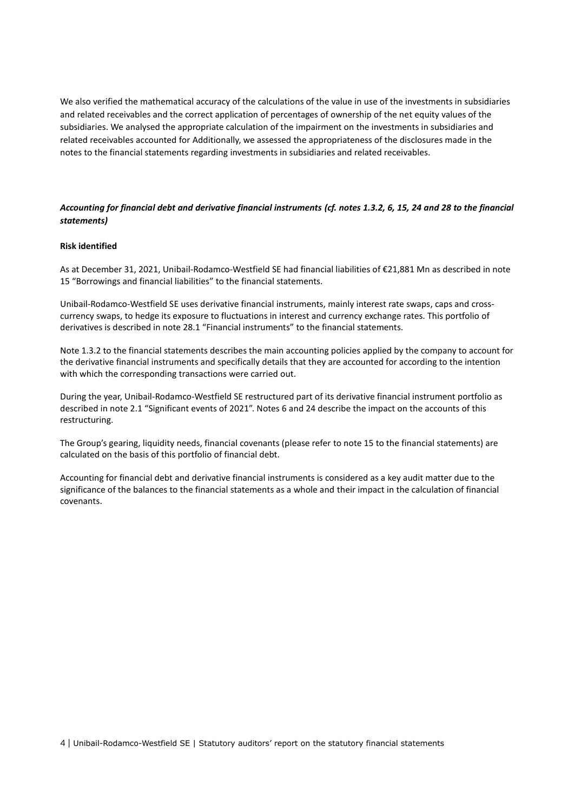We also verified the mathematical accuracy of the calculations of the value in use of the investments in subsidiaries and related receivables and the correct application of percentages of ownership of the net equity values of the subsidiaries. We analysed the appropriate calculation of the impairment on the investments in subsidiaries and related receivables accounted for Additionally, we assessed the appropriateness of the disclosures made in the notes to the financial statements regarding investments in subsidiaries and related receivables.

# *Accounting for financial debt and derivative financial instruments (cf. notes 1.3.2, 6, 15, 24 and 28 to the financial statements)*

#### **Risk identified**

As at December 31, 2021, Unibail-Rodamco-Westfield SE had financial liabilities of €21,881 Mn as described in note 15 "Borrowings and financial liabilities" to the financial statements.

Unibail-Rodamco-Westfield SE uses derivative financial instruments, mainly interest rate swaps, caps and crosscurrency swaps, to hedge its exposure to fluctuations in interest and currency exchange rates. This portfolio of derivatives is described in note 28.1 "Financial instruments" to the financial statements.

Note 1.3.2 to the financial statements describes the main accounting policies applied by the company to account for the derivative financial instruments and specifically details that they are accounted for according to the intention with which the corresponding transactions were carried out.

During the year, Unibail-Rodamco-Westfield SE restructured part of its derivative financial instrument portfolio as described in note 2.1 "Significant events of 2021". Notes 6 and 24 describe the impact on the accounts of this restructuring.

The Group's gearing, liquidity needs, financial covenants (please refer to note 15 to the financial statements) are calculated on the basis of this portfolio of financial debt.

Accounting for financial debt and derivative financial instruments is considered as a key audit matter due to the significance of the balances to the financial statements as a whole and their impact in the calculation of financial covenants.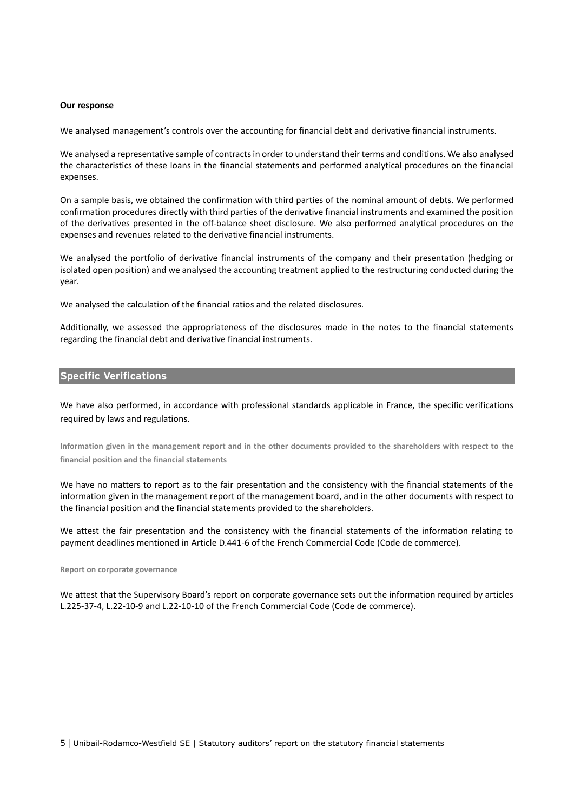#### **Our response**

We analysed management's controls over the accounting for financial debt and derivative financial instruments.

We analysed a representative sample of contracts in order to understand their terms and conditions. We also analysed the characteristics of these loans in the financial statements and performed analytical procedures on the financial expenses.

On a sample basis, we obtained the confirmation with third parties of the nominal amount of debts. We performed confirmation procedures directly with third parties of the derivative financial instruments and examined the position of the derivatives presented in the off-balance sheet disclosure. We also performed analytical procedures on the expenses and revenues related to the derivative financial instruments.

We analysed the portfolio of derivative financial instruments of the company and their presentation (hedging or isolated open position) and we analysed the accounting treatment applied to the restructuring conducted during the year.

We analysed the calculation of the financial ratios and the related disclosures.

Additionally, we assessed the appropriateness of the disclosures made in the notes to the financial statements regarding the financial debt and derivative financial instruments.

## **Specific Verifications**

We have also performed, in accordance with professional standards applicable in France, the specific verifications required by laws and regulations.

**Information given in the management report and in the other documents provided to the shareholders with respect to the financial position and the financial statements**

We have no matters to report as to the fair presentation and the consistency with the financial statements of the information given in the management report of the management board, and in the other documents with respect to the financial position and the financial statements provided to the shareholders.

We attest the fair presentation and the consistency with the financial statements of the information relating to payment deadlines mentioned in Article D.441-6 of the French Commercial Code (Code de commerce).

#### **Report on corporate governance**

We attest that the Supervisory Board's report on corporate governance sets out the information required by articles L.225-37-4, L.22-10-9 and L.22-10-10 of the French Commercial Code (Code de commerce).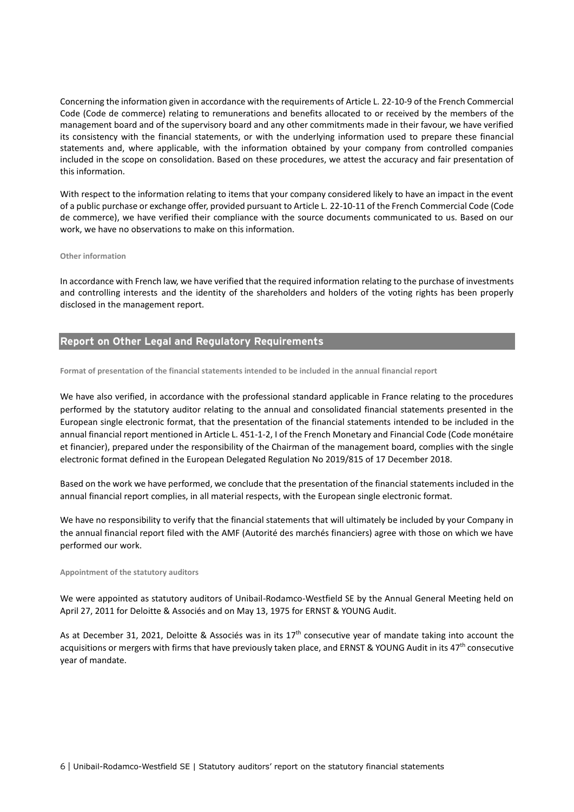Concerning the information given in accordance with the requirements of Article L. 22-10-9 of the French Commercial Code (Code de commerce) relating to remunerations and benefits allocated to or received by the members of the management board and of the supervisory board and any other commitments made in their favour, we have verified its consistency with the financial statements, or with the underlying information used to prepare these financial statements and, where applicable, with the information obtained by your company from controlled companies included in the scope on consolidation. Based on these procedures, we attest the accuracy and fair presentation of this information.

With respect to the information relating to items that your company considered likely to have an impact in the event of a public purchase or exchange offer, provided pursuant to Article L. 22-10-11 of the French Commercial Code (Code de commerce), we have verified their compliance with the source documents communicated to us. Based on our work, we have no observations to make on this information.

#### **Other information**

In accordance with French law, we have verified that the required information relating to the purchase of investments and controlling interests and the identity of the shareholders and holders of the voting rights has been properly disclosed in the management report.

## **Report on Other Legal and Regulatory Requirements**

#### **Format of presentation of the financial statements intended to be included in the annual financial report**

We have also verified, in accordance with the professional standard applicable in France relating to the procedures performed by the statutory auditor relating to the annual and consolidated financial statements presented in the European single electronic format, that the presentation of the financial statements intended to be included in the annual financial report mentioned in Article L. 451-1-2, I of the French Monetary and Financial Code (Code monétaire et financier), prepared under the responsibility of the Chairman of the management board, complies with the single electronic format defined in the European Delegated Regulation No 2019/815 of 17 December 2018.

Based on the work we have performed, we conclude that the presentation of the financial statements included in the annual financial report complies, in all material respects, with the European single electronic format.

We have no responsibility to verify that the financial statements that will ultimately be included by your Company in the annual financial report filed with the AMF (Autorité des marchés financiers) agree with those on which we have performed our work.

#### **Appointment of the statutory auditors**

We were appointed as statutory auditors of Unibail-Rodamco-Westfield SE by the Annual General Meeting held on April 27, 2011 for Deloitte & Associés and on May 13, 1975 for ERNST & YOUNG Audit.

As at December 31, 2021, Deloitte & Associés was in its  $17<sup>th</sup>$  consecutive year of mandate taking into account the acquisitions or mergers with firms that have previously taken place, and ERNST & YOUNG Audit in its 47<sup>th</sup> consecutive year of mandate.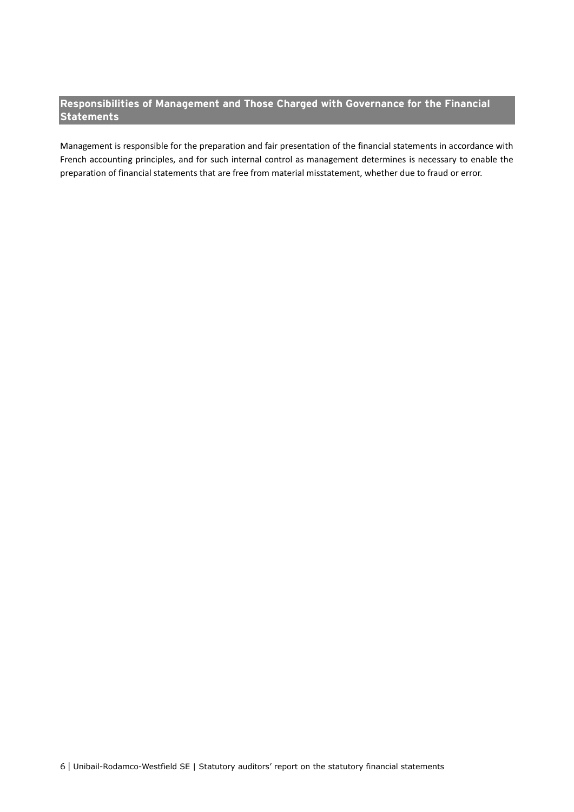# **Responsibilities of Management and Those Charged with Governance for the Financial Statements**

Management is responsible for the preparation and fair presentation of the financial statements in accordance with French accounting principles, and for such internal control as management determines is necessary to enable the preparation of financial statements that are free from material misstatement, whether due to fraud or error.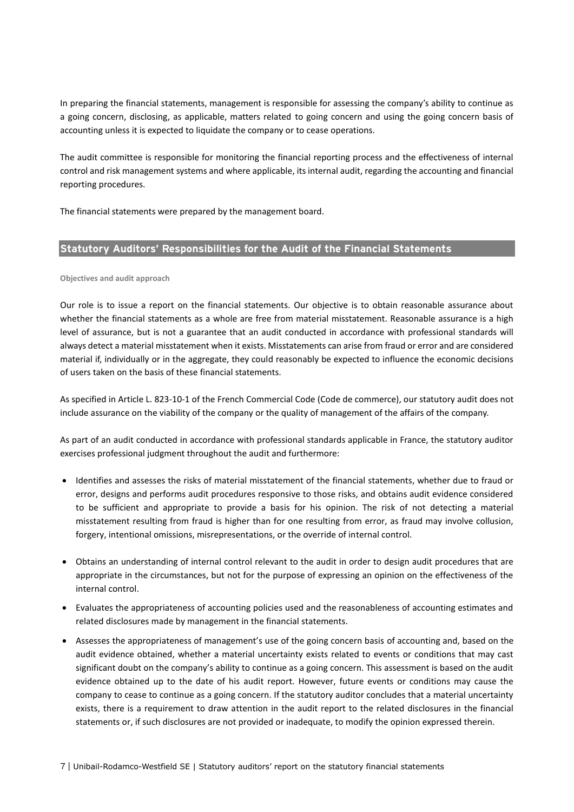In preparing the financial statements, management is responsible for assessing the company's ability to continue as a going concern, disclosing, as applicable, matters related to going concern and using the going concern basis of accounting unless it is expected to liquidate the company or to cease operations.

The audit committee is responsible for monitoring the financial reporting process and the effectiveness of internal control and risk management systems and where applicable, its internal audit, regarding the accounting and financial reporting procedures.

The financial statements were prepared by the management board.

## **Statutory Auditors' Responsibilities for the Audit of the Financial Statements**

#### **Objectives and audit approach**

Our role is to issue a report on the financial statements. Our objective is to obtain reasonable assurance about whether the financial statements as a whole are free from material misstatement. Reasonable assurance is a high level of assurance, but is not a guarantee that an audit conducted in accordance with professional standards will always detect a material misstatement when it exists. Misstatements can arise from fraud or error and are considered material if, individually or in the aggregate, they could reasonably be expected to influence the economic decisions of users taken on the basis of these financial statements.

As specified in Article L. 823-10-1 of the French Commercial Code (Code de commerce), our statutory audit does not include assurance on the viability of the company or the quality of management of the affairs of the company.

As part of an audit conducted in accordance with professional standards applicable in France, the statutory auditor exercises professional judgment throughout the audit and furthermore:

- Identifies and assesses the risks of material misstatement of the financial statements, whether due to fraud or error, designs and performs audit procedures responsive to those risks, and obtains audit evidence considered to be sufficient and appropriate to provide a basis for his opinion. The risk of not detecting a material misstatement resulting from fraud is higher than for one resulting from error, as fraud may involve collusion, forgery, intentional omissions, misrepresentations, or the override of internal control.
- Obtains an understanding of internal control relevant to the audit in order to design audit procedures that are appropriate in the circumstances, but not for the purpose of expressing an opinion on the effectiveness of the internal control.
- Evaluates the appropriateness of accounting policies used and the reasonableness of accounting estimates and related disclosures made by management in the financial statements.
- Assesses the appropriateness of management's use of the going concern basis of accounting and, based on the audit evidence obtained, whether a material uncertainty exists related to events or conditions that may cast significant doubt on the company's ability to continue as a going concern. This assessment is based on the audit evidence obtained up to the date of his audit report. However, future events or conditions may cause the company to cease to continue as a going concern. If the statutory auditor concludes that a material uncertainty exists, there is a requirement to draw attention in the audit report to the related disclosures in the financial statements or, if such disclosures are not provided or inadequate, to modify the opinion expressed therein.